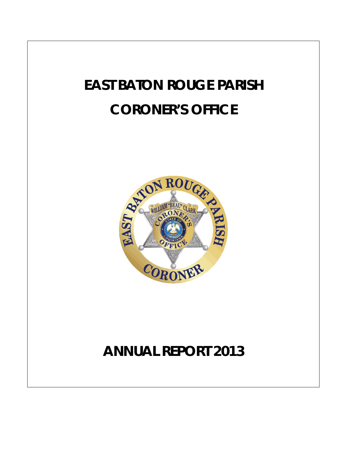# **EAST BATON ROUGE PARISH CORONER'S OFFICE**



## **ANNUAL REPORT 2013**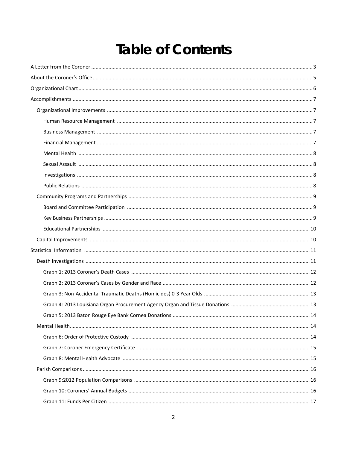### **Table of Contents**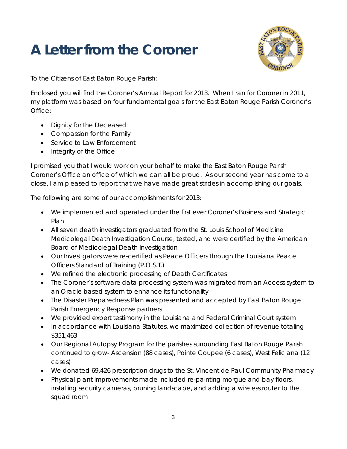## **A Letter from the Coroner**



To the Citizens of East Baton Rouge Parish:

Enclosed you will find the Coroner's Annual Report for 2013. When I ran for Coroner in 2011, my platform was based on four fundamental goals for the East Baton Rouge Parish Coroner's Office:

- Dignity for the Deceased
- Compassion for the Family
- Service to Law Enforcement
- Integrity of the Office

I promised you that I would work on your behalf to make the East Baton Rouge Parish Coroner's Office an office of which we can all be proud. As our second year has come to a close, I am pleased to report that we have made great strides in accomplishing our goals.

The following are some of our accomplishments for 2013:

- We implemented and operated under the first ever Coroner's Business and Strategic Plan
- All seven death investigators graduated from the St. Louis School of Medicine Medicolegal Death Investigation Course, tested, and were certified by the American Board of Medicolegal Death Investigation
- Our Investigators were re-certified as Peace Officers through the Louisiana Peace Officers Standard of Training (P.O.S.T.)
- We refined the electronic processing of Death Certificates
- The Coroner's software data processing system was migrated from an Access system to an Oracle based system to enhance its functionality
- The Disaster Preparedness Plan was presented and accepted by East Baton Rouge Parish Emergency Response partners
- We provided expert testimony in the Louisiana and Federal Criminal Court system
- In accordance with Louisiana Statutes, we maximized collection of revenue totaling \$351,463
- Our Regional Autopsy Program for the parishes surrounding East Baton Rouge Parish continued to grow- Ascension (88 cases), Pointe Coupee (6 cases), West Feliciana (12 cases)
- We donated 69,426 prescription drugs to the St. Vincent de Paul Community Pharmacy
- Physical plant improvements made included re-painting morgue and bay floors, installing security cameras, pruning landscape, and adding a wireless router to the squad room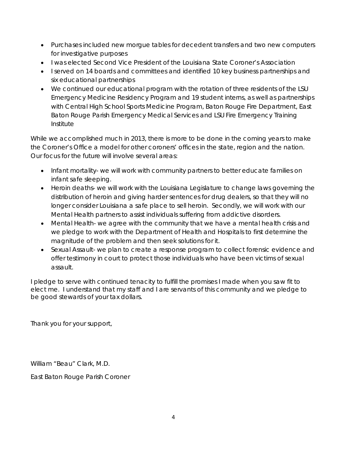- Purchases included new morgue tables for decedent transfers and two new computers for investigative purposes
- I was elected Second Vice President of the Louisiana State Coroner's Association
- I served on 14 boards and committees and identified 10 key business partnerships and six educational partnerships
- We continued our educational program with the rotation of three residents of the LSU Emergency Medicine Residency Program and 19 student interns, as well as partnerships with Central High School Sports Medicine Program, Baton Rouge Fire Department, East Baton Rouge Parish Emergency Medical Services and LSU Fire Emergency Training Institute

While we accomplished much in 2013, there is more to be done in the coming years to make the Coroner's Office a model for other coroners' offices in the state, region and the nation. Our focus for the future will involve several areas:

- Infant mortality- we will work with community partners to better educate families on infant safe sleeping.
- Heroin deaths- we will work with the Louisiana Legislature to change laws governing the distribution of heroin and giving harder sentences for drug dealers, so that they will no longer consider Louisiana a safe place to sell heroin. Secondly, we will work with our Mental Health partners to assist individuals suffering from addictive disorders.
- Mental Health- we agree with the community that we have a mental health crisis and we pledge to work with the Department of Health and Hospitals to first determine the magnitude of the problem and then seek solutions for it.
- Sexual Assault- we plan to create a response program to collect forensic evidence and offer testimony in court to protect those individuals who have been victims of sexual assault.

I pledge to serve with continued tenacity to fulfill the promises I made when you saw fit to elect me. I understand that my staff and I are servants of this community and we pledge to be good stewards of your tax dollars.

Thank you for your support,

William "Beau" Clark, M.D.

East Baton Rouge Parish Coroner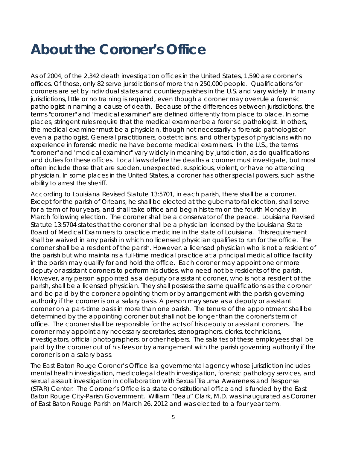### **About the Coroner's Office**

As of 2004, of the 2,342 death investigation offices in the United States, 1,590 are coroner's offices. Of those, only 82 serve jurisdictions of more than 250,000 people. Qualifications for coroners are set by individual states and counties/parishes in the U.S. and vary widely. In many jurisdictions, little or no training is required, even though a coroner may overrule a forensic pathologist in naming a cause of death. Because of the differences between jurisdictions, the terms "coroner" and "medical examiner" are defined differently from place to place. In some places, stringent rules require that the medical examiner be a forensic pathologist. In others, the medical examiner must be a physician, though not necessarily a forensic pathologist or even a pathologist. General practitioners, obstetricians, and other types of physicians with no experience in forensic medicine have become medical examiners. In the U.S., the terms "coroner" and "medical examiner" vary widely in meaning by jurisdiction, as do qualifications and duties for these offices. Local laws define the deaths a coroner must investigate, but most often include those that are sudden, unexpected, suspicious, violent, or have no attending physician. In some places in the United States, a coroner has other special powers, such as the ability to arrest the sheriff.

According to Louisiana Revised Statute 13:5701, in each parish, there shall be a coroner. Except for the parish of Orleans, he shall be elected at the gubernatorial election, shall serve for a term of four years, and shall take office and begin his term on the fourth Monday in March following election. The coroner shall be a conservator of the peace. Louisiana Revised Statute 13:5704 states that the coroner shall be a physician licensed by the Louisiana State Board of Medical Examiners to practice medicine in the state of Louisiana. This requirement shall be waived in any parish in which no licensed physician qualifies to run for the office. The coroner shall be a resident of the parish. However, a licensed physician who is not a resident of the parish but who maintains a full-time medical practice at a principal medical office facility in the parish may qualify for and hold the office. Each coroner may appoint one or more deputy or assistant coroners to perform his duties, who need not be residents of the parish. However, any person appointed as a deputy or assistant coroner, who is not a resident of the parish, shall be a licensed physician. They shall possess the same qualifications as the coroner and be paid by the coroner appointing them or by arrangement with the parish governing authority if the coroner is on a salary basis. A person may serve as a deputy or assistant coroner on a part-time basis in more than one parish. The tenure of the appointment shall be determined by the appointing coroner but shall not be longer than the coroner's term of office. The coroner shall be responsible for the acts of his deputy or assistant coroners. The coroner may appoint any necessary secretaries, stenographers, clerks, technicians, investigators, official photographers, or other helpers. The salaries of these employees shall be paid by the coroner out of his fees or by arrangement with the parish governing authority if the coroner is on a salary basis.

The East Baton Rouge Coroner's Office is a governmental agency whose jurisdiction includes mental health investigation, medicolegal death investigation, forensic pathology services, and sexual assault investigation in collaboration with Sexual Trauma Awareness and Response (STAR) Center. The Coroner's Office is a state constitutional office and is funded by the East Baton Rouge City-Parish Government. William "Beau" Clark, M.D. was inaugurated as Coroner of East Baton Rouge Parish on March 26, 2012 and was elected to a four year term.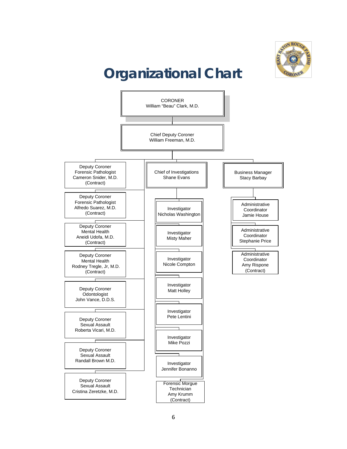

## **Organizational Chart**

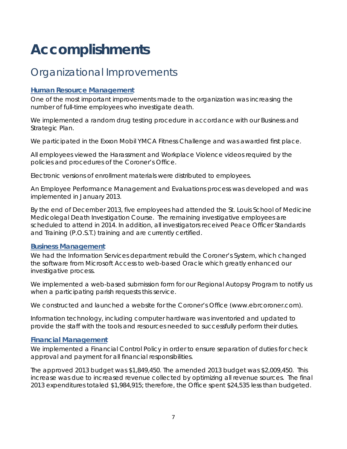## **Accomplishments**

### Organizational Improvements

#### **Human Resource Management**

One of the most important improvements made to the organization was increasing the number of full-time employees who investigate death.

We implemented a random drug testing procedure in accordance with our Business and Strategic Plan.

We participated in the Exxon Mobil YMCA Fitness Challenge and was awarded first place.

All employees viewed the Harassment and Workplace Violence videos required by the policies and procedures of the Coroner's Office.

Electronic versions of enrollment materials were distributed to employees.

An Employee Performance Management and Evaluations process was developed and was implemented in January 2013.

By the end of December 2013, five employees had attended the St. Louis School of Medicine Medicolegal Death Investigation Course. The remaining investigative employees are scheduled to attend in 2014. In addition, all investigators received Peace Officer Standards and Training (P.O.S.T.) training and are currently certified.

#### **Business Management**

We had the Information Services department rebuild the Coroner's System, which changed the software from Microsoft Access to web-based Oracle which greatly enhanced our investigative process.

We implemented a web-based submission form for our Regional Autopsy Program to notify us when a participating parish requests this service.

We constructed and launched a website for the Coroner's Office (www.ebrcoroner.com).

Information technology, including computer hardware was inventoried and updated to provide the staff with the tools and resources needed to successfully perform their duties.

#### **Financial Management**

We implemented a Financial Control Policy in order to ensure separation of duties for check approval and payment for all financial responsibilities.

The approved 2013 budget was \$1,849,450. The amended 2013 budget was \$2,009,450. This increase was due to increased revenue collected by optimizing all revenue sources. The final 2013 expenditures totaled \$1,984,915; therefore, the Office spent \$24,535 less than budgeted.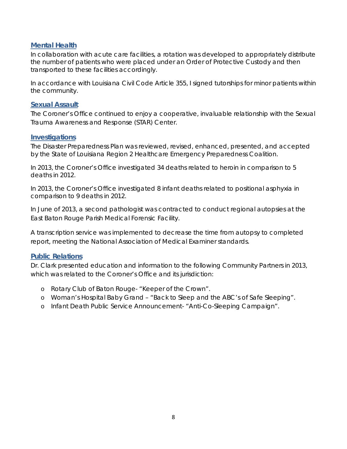#### **Mental Health**

In collaboration with acute care facilities, a rotation was developed to appropriately distribute the number of patients who were placed under an Order of Protective Custody and then transported to these facilities accordingly.

In accordance with Louisiana Civil Code Article 355, I signed tutorships for minor patients within the community.

#### **Sexual Assault**

The Coroner's Office continued to enjoy a cooperative, invaluable relationship with the Sexual Trauma Awareness and Response (STAR) Center.

#### **Investigations**

The Disaster Preparedness Plan was reviewed, revised, enhanced, presented, and accepted by the State of Louisiana Region 2 Healthcare Emergency Preparedness Coalition.

In 2013, the Coroner's Office investigated 34 deaths related to heroin in comparison to 5 deaths in 2012.

In 2013, the Coroner's Office investigated 8 infant deaths related to positional asphyxia in comparison to 9 deaths in 2012.

In June of 2013, a second pathologist was contracted to conduct regional autopsies at the East Baton Rouge Parish Medical Forensic Facility.

A transcription service was implemented to decrease the time from autopsy to completed report, meeting the National Association of Medical Examiner standards.

#### **Public Relations**

Dr. Clark presented education and information to the following Community Partners in 2013, which was related to the Coroner's Office and its jurisdiction:

- o Rotary Club of Baton Rouge- "Keeper of the Crown".
- o Woman's Hospital Baby Grand "Back to Sleep and the ABC's of Safe Sleeping".
- o Infant Death Public Service Announcement- "Anti-Co-Sleeping Campaign".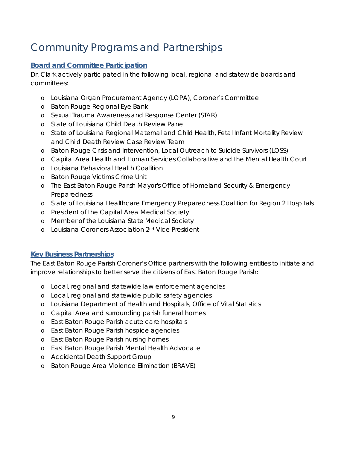### Community Programs and Partnerships

#### **Board and Committee Participation**

Dr. Clark actively participated in the following local, regional and statewide boards and committees:

- o Louisiana Organ Procurement Agency (LOPA), Coroner's Committee
- o Baton Rouge Regional Eye Bank
- o Sexual Trauma Awareness and Response Center (STAR)
- o State of Louisiana Child Death Review Panel
- o State of Louisiana Regional Maternal and Child Health, Fetal Infant Mortality Review and Child Death Review Case Review Team
- o Baton Rouge Crisis and Intervention, Local Outreach to Suicide Survivors (LOSS)
- o Capital Area Health and Human Services Collaborative and the Mental Health Court
- o Louisiana Behavioral Health Coalition
- o Baton Rouge Victims Crime Unit
- o The East Baton Rouge Parish Mayor's Office of Homeland Security & Emergency Preparedness
- o State of Louisiana Healthcare Emergency Preparedness Coalition for Region 2 Hospitals
- o President of the Capital Area Medical Society
- o Member of the Louisiana State Medical Society
- o Louisiana Coroners Association 2nd Vice President

#### **Key Business Partnerships**

The East Baton Rouge Parish Coroner's Office partners with the following entities to initiate and improve relationships to better serve the citizens of East Baton Rouge Parish:

- o Local, regional and statewide law enforcement agencies
- o Local, regional and statewide public safety agencies
- o Louisiana Department of Health and Hospitals, Office of Vital Statistics
- o Capital Area and surrounding parish funeral homes
- o East Baton Rouge Parish acute care hospitals
- o East Baton Rouge Parish hospice agencies
- o East Baton Rouge Parish nursing homes
- o East Baton Rouge Parish Mental Health Advocate
- o Accidental Death Support Group
- o Baton Rouge Area Violence Elimination (BRAVE)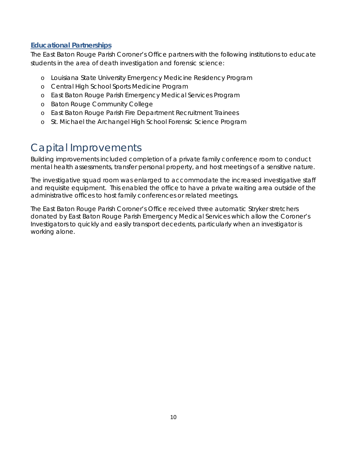#### **Educational Partnerships**

The East Baton Rouge Parish Coroner's Office partners with the following institutions to educate students in the area of death investigation and forensic science:

- o Louisiana State University Emergency Medicine Residency Program
- o Central High School Sports Medicine Program
- o East Baton Rouge Parish Emergency Medical Services Program
- o Baton Rouge Community College
- o East Baton Rouge Parish Fire Department Recruitment Trainees
- o St. Michael the Archangel High School Forensic Science Program

### Capital Improvements

Building improvements included completion of a private family conference room to conduct mental health assessments, transfer personal property, and host meetings of a sensitive nature.

The investigative squad room was enlarged to accommodate the increased investigative staff and requisite equipment. This enabled the office to have a private waiting area outside of the administrative offices to host family conferences or related meetings.

The East Baton Rouge Parish Coroner's Office received three automatic Stryker stretchers donated by East Baton Rouge Parish Emergency Medical Services which allow the Coroner's Investigators to quickly and easily transport decedents, particularly when an investigator is working alone.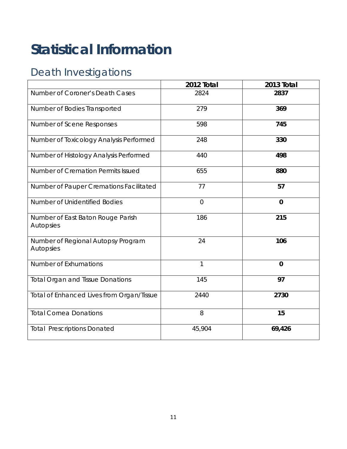## **Statistical Information**

### Death Investigations

|                                                 | 2012 Total     | 2013 Total  |
|-------------------------------------------------|----------------|-------------|
| Number of Coroner's Death Cases                 | 2824           | 2837        |
| Number of Bodies Transported                    | 279            | 369         |
| Number of Scene Responses                       | 598            | 745         |
| Number of Toxicology Analysis Performed         | 248            | 330         |
| Number of Histology Analysis Performed          | 440            | 498         |
| Number of Cremation Permits Issued              | 655            | 880         |
| Number of Pauper Cremations Facilitated         | 77             | 57          |
| Number of Unidentified Bodies                   | $\overline{O}$ | $\mathbf 0$ |
| Number of East Baton Rouge Parish<br>Autopsies  | 186            | 215         |
| Number of Regional Autopsy Program<br>Autopsies | 24             | 106         |
| <b>Number of Exhumations</b>                    | $\mathcal{I}$  | $\mathbf 0$ |
| <b>Total Organ and Tissue Donations</b>         | 145            | 97          |
| Total of Enhanced Lives from Organ/Tissue       | 2440           | 2730        |
| <b>Total Cornea Donations</b>                   | 8              | 15          |
| <b>Total Prescriptions Donated</b>              | 45,904         | 69,426      |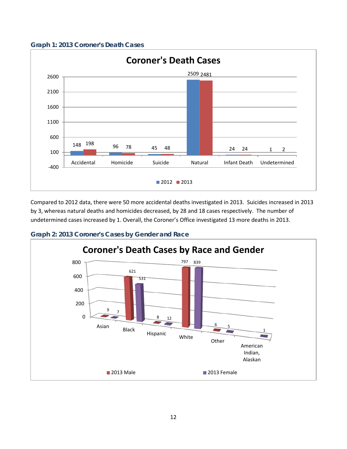



Compared to 2012 data, there were 50 more accidental deaths investigated in 2013. Suicides increased in 2013 by 3, whereas natural deaths and homicides decreased, by 28 and 18 cases respectively. The number of undetermined cases increased by 1. Overall, the Coroner's Office investigated 13 more deaths in 2013.



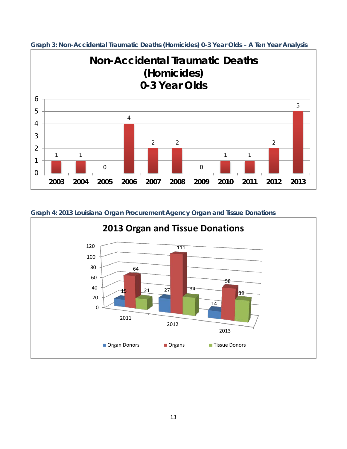

**Graph 3: Non-Accidental Traumatic Deaths (Homicides) 0-3 Year Olds – A Ten Year Analysis**

#### **Graph 4: 2013 Louisiana Organ Procurement Agency Organ and Tissue Donations**

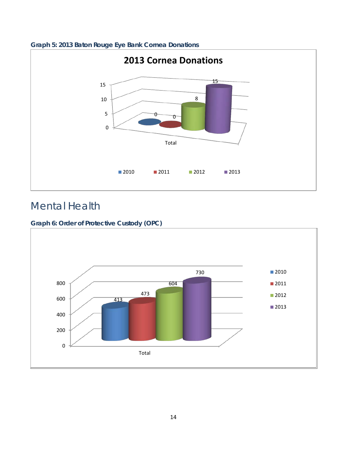

#### **Graph 5: 2013 Baton Rouge Eye Bank Cornea Donations**

### Mental Health

#### **Graph 6: Order of Protective Custody (OPC)**

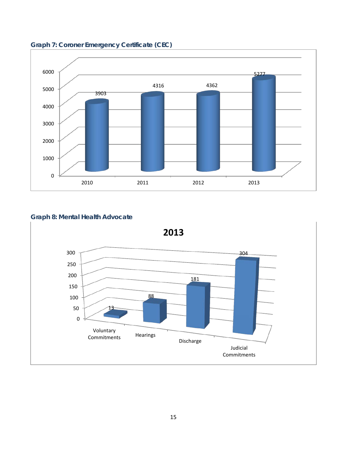

**Graph 7: Coroner Emergency Certificate (CEC)**

#### **Graph 8: Mental Health Advocate**



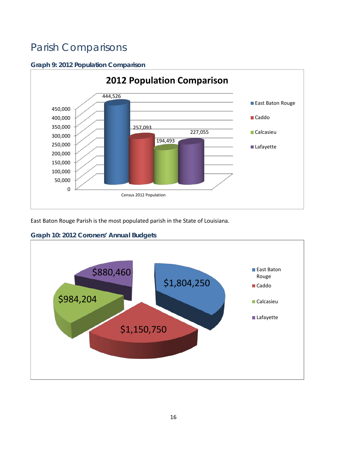### Parish Comparisons

#### **Graph 9: 2012 Population Comparison**



East Baton Rouge Parish is the most populated parish in the State of Louisiana.

#### **Graph 10: 2012 Coroners' Annual Budgets**